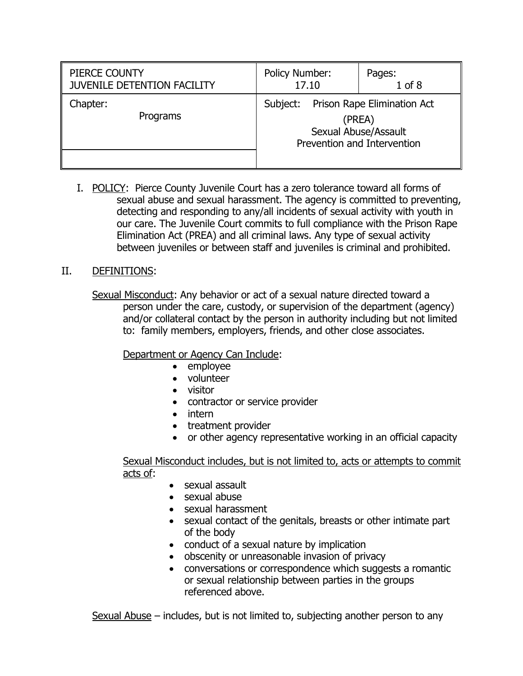| PIERCE COUNTY               | <b>Policy Number:</b>                                                                                    | Pages:     |
|-----------------------------|----------------------------------------------------------------------------------------------------------|------------|
| JUVENILE DETENTION FACILITY | 17.10                                                                                                    | $1$ of $8$ |
| Chapter:<br>Programs        | Prison Rape Elimination Act<br>Subject:<br>(PREA)<br>Sexual Abuse/Assault<br>Prevention and Intervention |            |

I. POLICY: Pierce County Juvenile Court has a zero tolerance toward all forms of sexual abuse and sexual harassment. The agency is committed to preventing, detecting and responding to any/all incidents of sexual activity with youth in our care. The Juvenile Court commits to full compliance with the Prison Rape Elimination Act (PREA) and all criminal laws. Any type of sexual activity between juveniles or between staff and juveniles is criminal and prohibited.

## II. DEFINITIONS:

Sexual Misconduct: Any behavior or act of a sexual nature directed toward a person under the care, custody, or supervision of the department (agency) and/or collateral contact by the person in authority including but not limited to: family members, employers, friends, and other close associates.

# Department or Agency Can Include:

- employee
- volunteer
- visitor
- contractor or service provider
- intern
- treatment provider
- or other agency representative working in an official capacity

Sexual Misconduct includes, but is not limited to, acts or attempts to commit acts of:

- sexual assault
- sexual abuse
- sexual harassment
- sexual contact of the genitals, breasts or other intimate part of the body
- conduct of a sexual nature by implication
- obscenity or unreasonable invasion of privacy
- conversations or correspondence which suggests a romantic or sexual relationship between parties in the groups referenced above.

Sexual Abuse – includes, but is not limited to, subjecting another person to any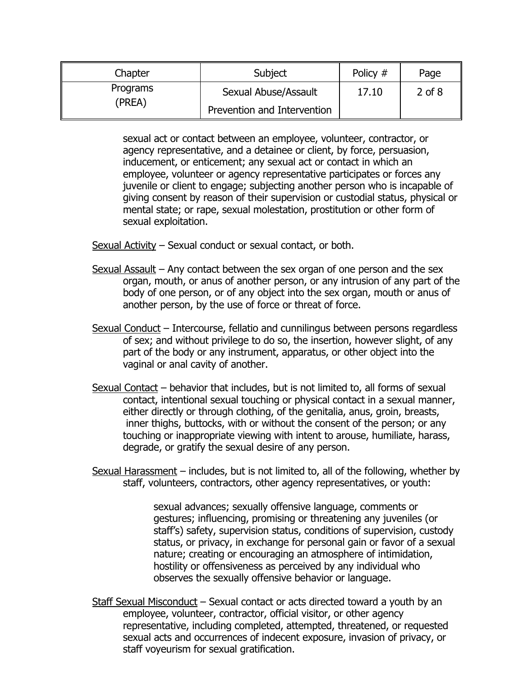| Chapter  | Subject                     | Policy # | Page       |
|----------|-----------------------------|----------|------------|
| Programs | Sexual Abuse/Assault        | 17.10    | $2$ of $8$ |
| (PREA)   | Prevention and Intervention |          |            |

sexual act or contact between an employee, volunteer, contractor, or agency representative, and a detainee or client, by force, persuasion, inducement, or enticement; any sexual act or contact in which an employee, volunteer or agency representative participates or forces any juvenile or client to engage; subjecting another person who is incapable of giving consent by reason of their supervision or custodial status, physical or mental state; or rape, sexual molestation, prostitution or other form of sexual exploitation.

Sexual Activity – Sexual conduct or sexual contact, or both.

- Sexual Assault Any contact between the sex organ of one person and the sex organ, mouth, or anus of another person, or any intrusion of any part of the body of one person, or of any object into the sex organ, mouth or anus of another person, by the use of force or threat of force.
- Sexual Conduct Intercourse, fellatio and cunnilingus between persons regardless of sex; and without privilege to do so, the insertion, however slight, of any part of the body or any instrument, apparatus, or other object into the vaginal or anal cavity of another.
- Sexual Contact behavior that includes, but is not limited to, all forms of sexual contact, intentional sexual touching or physical contact in a sexual manner, either directly or through clothing, of the genitalia, anus, groin, breasts, inner thighs, buttocks, with or without the consent of the person; or any touching or inappropriate viewing with intent to arouse, humiliate, harass, degrade, or gratify the sexual desire of any person.
- Sexual Harassment includes, but is not limited to, all of the following, whether by staff, volunteers, contractors, other agency representatives, or youth:

sexual advances; sexually offensive language, comments or gestures; influencing, promising or threatening any juveniles (or staff's) safety, supervision status, conditions of supervision, custody status, or privacy, in exchange for personal gain or favor of a sexual nature; creating or encouraging an atmosphere of intimidation, hostility or offensiveness as perceived by any individual who observes the sexually offensive behavior or language.

Staff Sexual Misconduct – Sexual contact or acts directed toward a youth by an employee, volunteer, contractor, official visitor, or other agency representative, including completed, attempted, threatened, or requested sexual acts and occurrences of indecent exposure, invasion of privacy, or staff voyeurism for sexual gratification.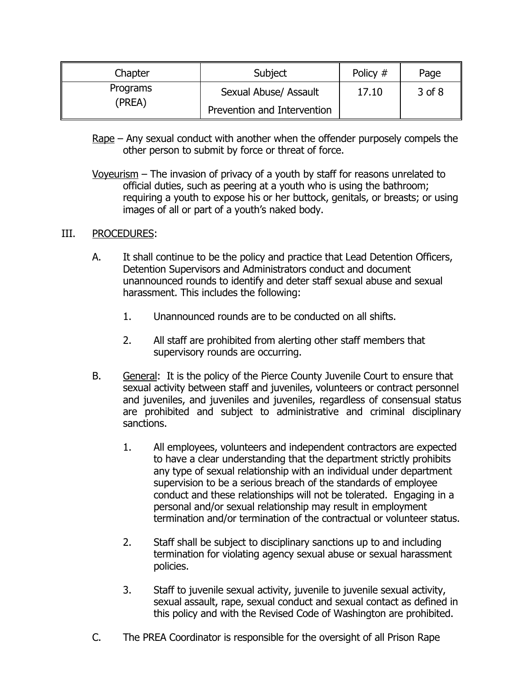| Chapter  | Subject                     | Policy # | Page       |
|----------|-----------------------------|----------|------------|
| Programs | Sexual Abuse/ Assault       | 17.10    | $3$ of $8$ |
| (PREA)   | Prevention and Intervention |          |            |

- Rape Any sexual conduct with another when the offender purposely compels the other person to submit by force or threat of force.
- Voyeurism The invasion of privacy of a youth by staff for reasons unrelated to official duties, such as peering at a youth who is using the bathroom; requiring a youth to expose his or her buttock, genitals, or breasts; or using images of all or part of a youth's naked body.

### III. PROCEDURES:

- A. It shall continue to be the policy and practice that Lead Detention Officers, Detention Supervisors and Administrators conduct and document unannounced rounds to identify and deter staff sexual abuse and sexual harassment. This includes the following:
	- 1. Unannounced rounds are to be conducted on all shifts.
	- 2. All staff are prohibited from alerting other staff members that supervisory rounds are occurring.
- B. General: It is the policy of the Pierce County Juvenile Court to ensure that sexual activity between staff and juveniles, volunteers or contract personnel and juveniles, and juveniles and juveniles, regardless of consensual status are prohibited and subject to administrative and criminal disciplinary sanctions.
	- 1. All employees, volunteers and independent contractors are expected to have a clear understanding that the department strictly prohibits any type of sexual relationship with an individual under department supervision to be a serious breach of the standards of employee conduct and these relationships will not be tolerated. Engaging in a personal and/or sexual relationship may result in employment termination and/or termination of the contractual or volunteer status.
	- 2. Staff shall be subject to disciplinary sanctions up to and including termination for violating agency sexual abuse or sexual harassment policies.
	- 3. Staff to juvenile sexual activity, juvenile to juvenile sexual activity, sexual assault, rape, sexual conduct and sexual contact as defined in this policy and with the Revised Code of Washington are prohibited.
- C. The PREA Coordinator is responsible for the oversight of all Prison Rape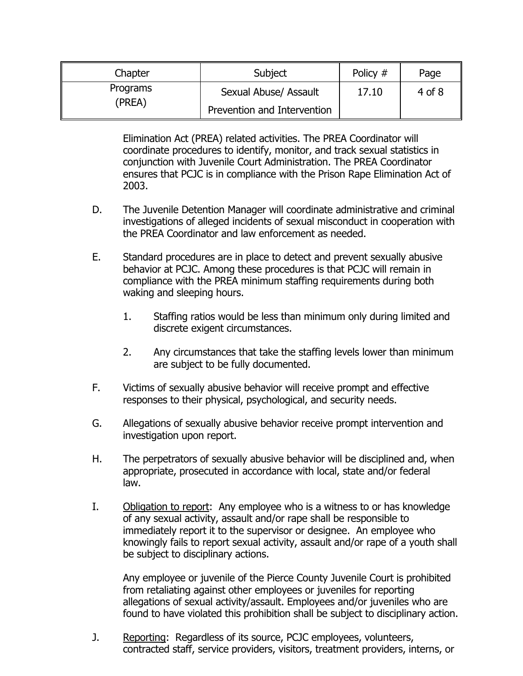| Chapter  | Subject                     | Policy # | Page       |
|----------|-----------------------------|----------|------------|
| Programs | Sexual Abuse/ Assault       | 17.10    | $4$ of $8$ |
| (PREA)   | Prevention and Intervention |          |            |

Elimination Act (PREA) related activities. The PREA Coordinator will coordinate procedures to identify, monitor, and track sexual statistics in conjunction with Juvenile Court Administration. The PREA Coordinator ensures that PCJC is in compliance with the Prison Rape Elimination Act of 2003.

- D. The Juvenile Detention Manager will coordinate administrative and criminal investigations of alleged incidents of sexual misconduct in cooperation with the PREA Coordinator and law enforcement as needed.
- E. Standard procedures are in place to detect and prevent sexually abusive behavior at PCJC. Among these procedures is that PCJC will remain in compliance with the PREA minimum staffing requirements during both waking and sleeping hours.
	- 1. Staffing ratios would be less than minimum only during limited and discrete exigent circumstances.
	- 2. Any circumstances that take the staffing levels lower than minimum are subject to be fully documented.
- F. Victims of sexually abusive behavior will receive prompt and effective responses to their physical, psychological, and security needs.
- G. Allegations of sexually abusive behavior receive prompt intervention and investigation upon report.
- H. The perpetrators of sexually abusive behavior will be disciplined and, when appropriate, prosecuted in accordance with local, state and/or federal law.
- I. Obligation to report: Any employee who is a witness to or has knowledge of any sexual activity, assault and/or rape shall be responsible to immediately report it to the supervisor or designee. An employee who knowingly fails to report sexual activity, assault and/or rape of a youth shall be subject to disciplinary actions.

Any employee or juvenile of the Pierce County Juvenile Court is prohibited from retaliating against other employees or juveniles for reporting allegations of sexual activity/assault. Employees and/or juveniles who are found to have violated this prohibition shall be subject to disciplinary action.

J. Reporting: Regardless of its source, PCJC employees, volunteers, contracted staff, service providers, visitors, treatment providers, interns, or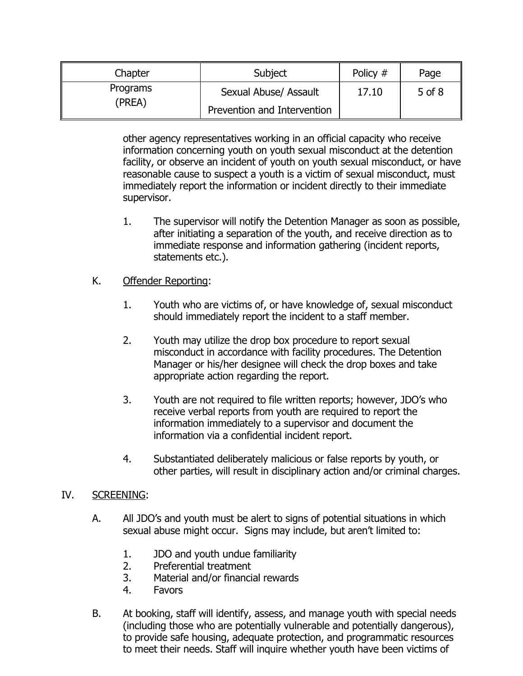| Chapter  | Subject                     | Policy # | Page       |
|----------|-----------------------------|----------|------------|
| Programs | Sexual Abuse/ Assault       | 17.10    | $5$ of $8$ |
| (PREA)   | Prevention and Intervention |          |            |

other agency representatives working in an official capacity who receive information concerning youth on youth sexual misconduct at the detention facility, or observe an incident of youth on youth sexual misconduct, or have reasonable cause to suspect a youth is a victim of sexual misconduct, must immediately report the information or incident directly to their immediate supervisor.

- 1. The supervisor will notify the Detention Manager as soon as possible, after initiating a separation of the youth, and receive direction as to immediate response and information gathering (incident reports, statements etc.).
- K. Offender Reporting:
	- 1. Youth who are victims of, or have knowledge of, sexual misconduct should immediately report the incident to a staff member.
	- 2. Youth may utilize the drop box procedure to report sexual misconduct in accordance with facility procedures. The Detention Manager or his/her designee will check the drop boxes and take appropriate action regarding the report.
	- 3. Youth are not required to file written reports; however, JDO's who receive verbal reports from youth are required to report the information immediately to a supervisor and document the information via a confidential incident report.
	- 4. Substantiated deliberately malicious or false reports by youth, or other parties, will result in disciplinary action and/or criminal charges.

# IV. SCREENING:

- A. All JDO's and youth must be alert to signs of potential situations in which sexual abuse might occur. Signs may include, but aren't limited to:
	- 1. JDO and youth undue familiarity
	- 2. Preferential treatment
	- 3. Material and/or financial rewards
	- 4. Favors
- B. At booking, staff will identify, assess, and manage youth with special needs (including those who are potentially vulnerable and potentially dangerous), to provide safe housing, adequate protection, and programmatic resources to meet their needs. Staff will inquire whether youth have been victims of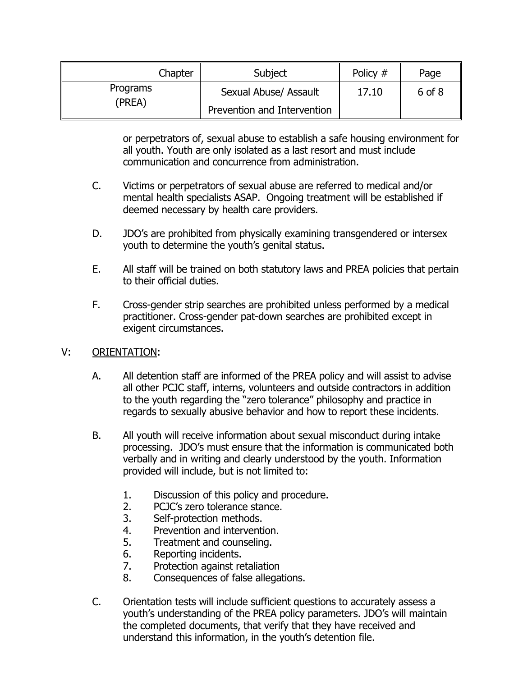| Chapter  | Subject                     | Policy # | Page   |
|----------|-----------------------------|----------|--------|
| Programs | Sexual Abuse/ Assault       | 17.10    | 6 of 8 |
| (PREA)   | Prevention and Intervention |          |        |

or perpetrators of, sexual abuse to establish a safe housing environment for all youth. Youth are only isolated as a last resort and must include communication and concurrence from administration.

- C. Victims or perpetrators of sexual abuse are referred to medical and/or mental health specialists ASAP. Ongoing treatment will be established if deemed necessary by health care providers.
- D. JDO's are prohibited from physically examining transgendered or intersex youth to determine the youth's genital status.
- E. All staff will be trained on both statutory laws and PREA policies that pertain to their official duties.
- F. Cross-gender strip searches are prohibited unless performed by a medical practitioner. Cross-gender pat-down searches are prohibited except in exigent circumstances.

# V: ORIENTATION:

- A. All detention staff are informed of the PREA policy and will assist to advise all other PCJC staff, interns, volunteers and outside contractors in addition to the youth regarding the "zero tolerance" philosophy and practice in regards to sexually abusive behavior and how to report these incidents.
- B. All youth will receive information about sexual misconduct during intake processing. JDO's must ensure that the information is communicated both verbally and in writing and clearly understood by the youth. Information provided will include, but is not limited to:
	- 1. Discussion of this policy and procedure.
	- 2. PCJC's zero tolerance stance.
	- 3. Self-protection methods.
	- 4. Prevention and intervention.
	- 5. Treatment and counseling.
	- 6. Reporting incidents.
	- 7. Protection against retaliation
	- 8. Consequences of false allegations.
- C. Orientation tests will include sufficient questions to accurately assess a youth's understanding of the PREA policy parameters. JDO's will maintain the completed documents, that verify that they have received and understand this information, in the youth's detention file.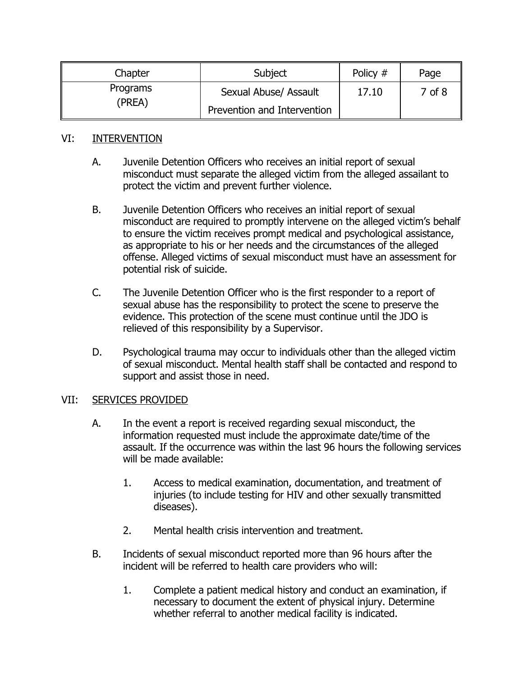| Chapter  | Subject                     | Policy # | Page   |
|----------|-----------------------------|----------|--------|
| Programs | Sexual Abuse/ Assault       | 17.10    | 7 of 8 |
| (PREA)   | Prevention and Intervention |          |        |

### VI: INTERVENTION

- A. Juvenile Detention Officers who receives an initial report of sexual misconduct must separate the alleged victim from the alleged assailant to protect the victim and prevent further violence.
- B. Juvenile Detention Officers who receives an initial report of sexual misconduct are required to promptly intervene on the alleged victim's behalf to ensure the victim receives prompt medical and psychological assistance, as appropriate to his or her needs and the circumstances of the alleged offense. Alleged victims of sexual misconduct must have an assessment for potential risk of suicide.
- C. The Juvenile Detention Officer who is the first responder to a report of sexual abuse has the responsibility to protect the scene to preserve the evidence. This protection of the scene must continue until the JDO is relieved of this responsibility by a Supervisor.
- D. Psychological trauma may occur to individuals other than the alleged victim of sexual misconduct. Mental health staff shall be contacted and respond to support and assist those in need.

# VII: SERVICES PROVIDED

- A. In the event a report is received regarding sexual misconduct, the information requested must include the approximate date/time of the assault. If the occurrence was within the last 96 hours the following services will be made available:
	- 1. Access to medical examination, documentation, and treatment of injuries (to include testing for HIV and other sexually transmitted diseases).
	- 2. Mental health crisis intervention and treatment.
- B. Incidents of sexual misconduct reported more than 96 hours after the incident will be referred to health care providers who will:
	- 1. Complete a patient medical history and conduct an examination, if necessary to document the extent of physical injury. Determine whether referral to another medical facility is indicated.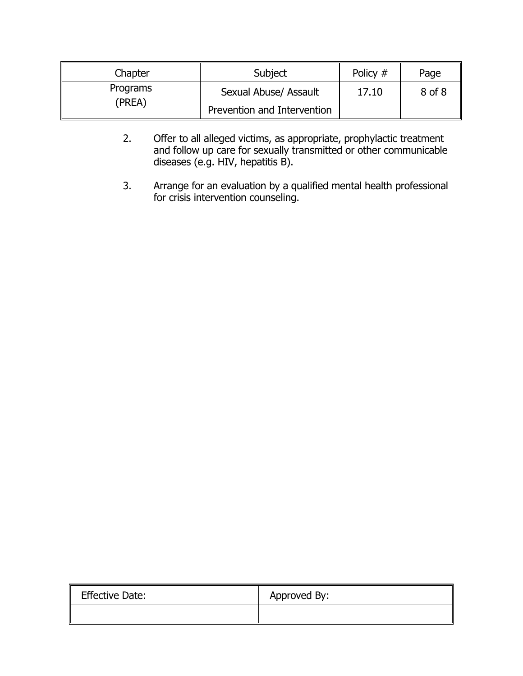| Chapter  | Subject                     | Policy # | Page   |
|----------|-----------------------------|----------|--------|
| Programs | Sexual Abuse/ Assault       | 17.10    | 8 of 8 |
| (PREA)   | Prevention and Intervention |          |        |

- 2. Offer to all alleged victims, as appropriate, prophylactic treatment and follow up care for sexually transmitted or other communicable diseases (e.g. HIV, hepatitis B).
- 3. Arrange for an evaluation by a qualified mental health professional for crisis intervention counseling.

| II<br><b>Effective Date:</b> | Approved By: |
|------------------------------|--------------|
|                              |              |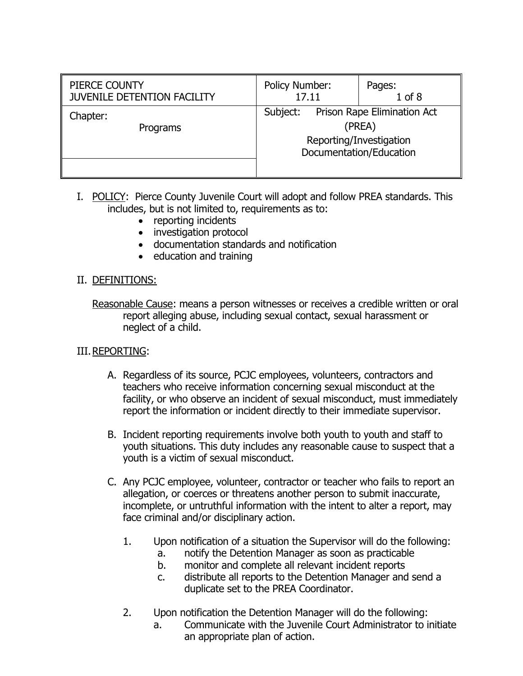| PIERCE COUNTY<br><b>JUVENILE DETENTION FACILITY</b> | <b>Policy Number:</b><br>Pages:<br>$1$ of $8$<br>17.11 |                                                                                             |
|-----------------------------------------------------|--------------------------------------------------------|---------------------------------------------------------------------------------------------|
| Chapter:<br>Programs                                | Subject:                                               | Prison Rape Elimination Act<br>(PREA)<br>Reporting/Investigation<br>Documentation/Education |

- I. POLICY: Pierce County Juvenile Court will adopt and follow PREA standards. This includes, but is not limited to, requirements as to:
	- reporting incidents
	- investigation protocol
	- documentation standards and notification
	- education and training

## II. DEFINITIONS:

Reasonable Cause: means a person witnesses or receives a credible written or oral report alleging abuse, including sexual contact, sexual harassment or neglect of a child.

# III.REPORTING:

- A. Regardless of its source, PCJC employees, volunteers, contractors and teachers who receive information concerning sexual misconduct at the facility, or who observe an incident of sexual misconduct, must immediately report the information or incident directly to their immediate supervisor.
- B. Incident reporting requirements involve both youth to youth and staff to youth situations. This duty includes any reasonable cause to suspect that a youth is a victim of sexual misconduct.
- C. Any PCJC employee, volunteer, contractor or teacher who fails to report an allegation, or coerces or threatens another person to submit inaccurate, incomplete, or untruthful information with the intent to alter a report, may face criminal and/or disciplinary action.
	- 1. Upon notification of a situation the Supervisor will do the following:
		- a. notify the Detention Manager as soon as practicable
		- b. monitor and complete all relevant incident reports
		- c. distribute all reports to the Detention Manager and send a duplicate set to the PREA Coordinator.
	- 2. Upon notification the Detention Manager will do the following:
		- a. Communicate with the Juvenile Court Administrator to initiate an appropriate plan of action.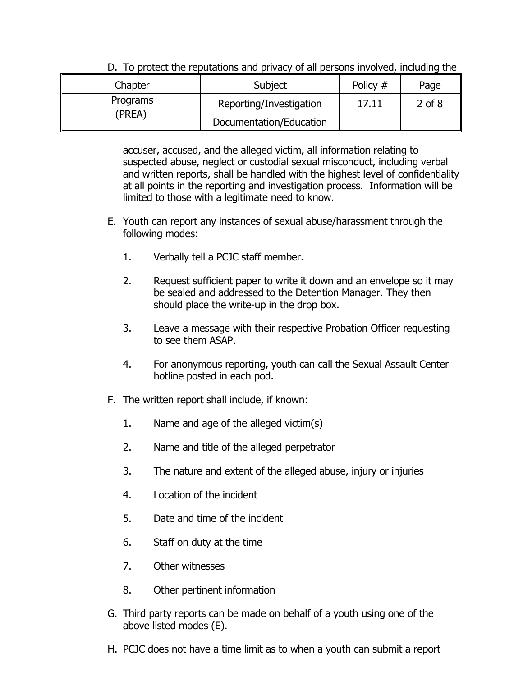| Chapter  | Subject                 | Policy # | Page       |
|----------|-------------------------|----------|------------|
| Programs | Reporting/Investigation | 17.11    | $2$ of $8$ |
| (PREA)   | Documentation/Education |          |            |

D. To protect the reputations and privacy of all persons involved, including the

accuser, accused, and the alleged victim, all information relating to suspected abuse, neglect or custodial sexual misconduct, including verbal and written reports, shall be handled with the highest level of confidentiality at all points in the reporting and investigation process. Information will be limited to those with a legitimate need to know.

- E. Youth can report any instances of sexual abuse/harassment through the following modes:
	- 1. Verbally tell a PCJC staff member.
	- 2. Request sufficient paper to write it down and an envelope so it may be sealed and addressed to the Detention Manager. They then should place the write-up in the drop box.
	- 3. Leave a message with their respective Probation Officer requesting to see them ASAP.
	- 4. For anonymous reporting, youth can call the Sexual Assault Center hotline posted in each pod.
- F. The written report shall include, if known:
	- 1. Name and age of the alleged victim(s)
	- 2. Name and title of the alleged perpetrator
	- 3. The nature and extent of the alleged abuse, injury or injuries
	- 4. Location of the incident
	- 5. Date and time of the incident
	- 6. Staff on duty at the time
	- 7. Other witnesses
	- 8. Other pertinent information
- G. Third party reports can be made on behalf of a youth using one of the above listed modes (E).
- H. PCJC does not have a time limit as to when a youth can submit a report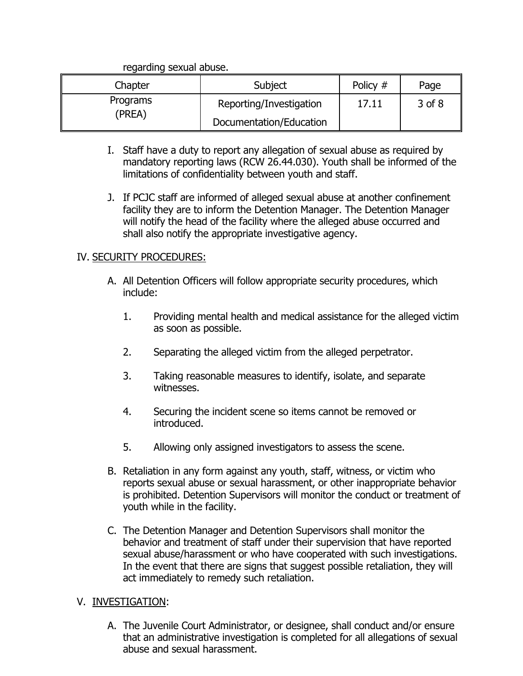regarding sexual abuse.

| Chapter  | Subject                 | Policy # | Page   |
|----------|-------------------------|----------|--------|
| Programs | Reporting/Investigation | 17.11    | 3 of 8 |
| (PREA)   | Documentation/Education |          |        |

- I. Staff have a duty to report any allegation of sexual abuse as required by mandatory reporting laws (RCW 26.44.030). Youth shall be informed of the limitations of confidentiality between youth and staff.
- J. If PCJC staff are informed of alleged sexual abuse at another confinement facility they are to inform the Detention Manager. The Detention Manager will notify the head of the facility where the alleged abuse occurred and shall also notify the appropriate investigative agency.

## IV. SECURITY PROCEDURES:

- A. All Detention Officers will follow appropriate security procedures, which include:
	- 1. Providing mental health and medical assistance for the alleged victim as soon as possible.
	- 2. Separating the alleged victim from the alleged perpetrator.
	- 3. Taking reasonable measures to identify, isolate, and separate witnesses.
	- 4. Securing the incident scene so items cannot be removed or introduced.
	- 5. Allowing only assigned investigators to assess the scene.
- B. Retaliation in any form against any youth, staff, witness, or victim who reports sexual abuse or sexual harassment, or other inappropriate behavior is prohibited. Detention Supervisors will monitor the conduct or treatment of youth while in the facility.
- C. The Detention Manager and Detention Supervisors shall monitor the behavior and treatment of staff under their supervision that have reported sexual abuse/harassment or who have cooperated with such investigations. In the event that there are signs that suggest possible retaliation, they will act immediately to remedy such retaliation.

# V. INVESTIGATION:

A. The Juvenile Court Administrator, or designee, shall conduct and/or ensure that an administrative investigation is completed for all allegations of sexual abuse and sexual harassment.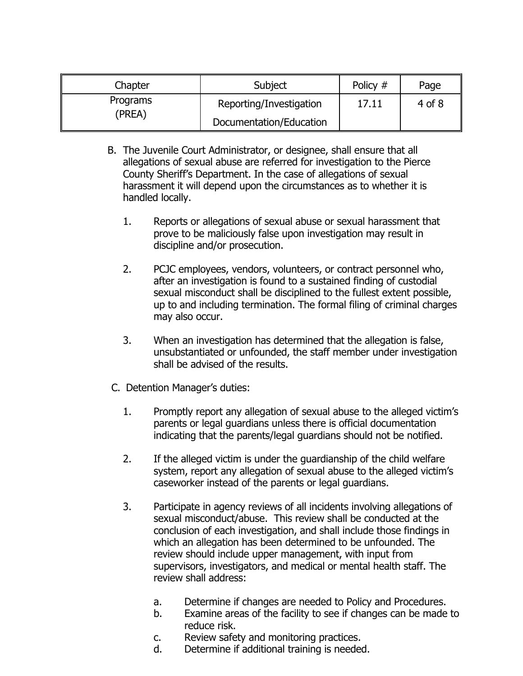| Chapter  | Subject                 | Policy # | Page       |
|----------|-------------------------|----------|------------|
| Programs | Reporting/Investigation | 17.11    | $4$ of $8$ |
| (PREA)   | Documentation/Education |          |            |

- B. The Juvenile Court Administrator, or designee, shall ensure that all allegations of sexual abuse are referred for investigation to the Pierce County Sheriff's Department. In the case of allegations of sexual harassment it will depend upon the circumstances as to whether it is handled locally.
	- 1. Reports or allegations of sexual abuse or sexual harassment that prove to be maliciously false upon investigation may result in discipline and/or prosecution.
	- 2. PCJC employees, vendors, volunteers, or contract personnel who, after an investigation is found to a sustained finding of custodial sexual misconduct shall be disciplined to the fullest extent possible, up to and including termination. The formal filing of criminal charges may also occur.
	- 3. When an investigation has determined that the allegation is false, unsubstantiated or unfounded, the staff member under investigation shall be advised of the results.
- C. Detention Manager's duties:
	- 1. Promptly report any allegation of sexual abuse to the alleged victim's parents or legal guardians unless there is official documentation indicating that the parents/legal guardians should not be notified.
	- 2. If the alleged victim is under the guardianship of the child welfare system, report any allegation of sexual abuse to the alleged victim's caseworker instead of the parents or legal guardians.
	- 3. Participate in agency reviews of all incidents involving allegations of sexual misconduct/abuse. This review shall be conducted at the conclusion of each investigation, and shall include those findings in which an allegation has been determined to be unfounded. The review should include upper management, with input from supervisors, investigators, and medical or mental health staff. The review shall address:
		- a. Determine if changes are needed to Policy and Procedures.
		- b. Examine areas of the facility to see if changes can be made to reduce risk.
		- c. Review safety and monitoring practices.
		- d. Determine if additional training is needed.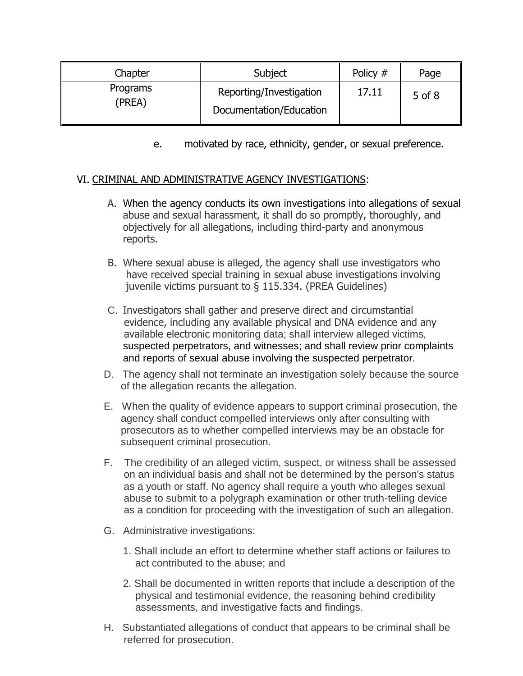| Chapter            | Subject                 | Policy # | Page   |
|--------------------|-------------------------|----------|--------|
| Programs<br>(PREA) | Reporting/Investigation | 17.11    | 5 of 8 |
|                    | Documentation/Education |          |        |

e. motivated by race, ethnicity, gender, or sexual preference.

## VI. CRIMINAL AND ADMINISTRATIVE AGENCY INVESTIGATIONS:

- A. When the agency conducts its own investigations into allegations of sexual abuse and sexual harassment, it shall do so promptly, thoroughly, and objectively for all allegations, including third-party and anonymous reports.
- B. Where sexual abuse is alleged, the agency shall use investigators who have received special training in sexual abuse investigations involving juvenile victims pursuant to § 115.334. (PREA Guidelines)
- C. Investigators shall gather and preserve direct and circumstantial evidence, including any available physical and DNA evidence and any available electronic monitoring data; shall interview alleged victims, suspected perpetrators, and witnesses; and shall review prior complaints and reports of sexual abuse involving the suspected perpetrator.
- D. The agency shall not terminate an investigation solely because the source of the allegation recants the allegation.
- E. When the quality of evidence appears to support criminal prosecution, the agency shall conduct compelled interviews only after consulting with prosecutors as to whether compelled interviews may be an obstacle for subsequent criminal prosecution.
- F. The credibility of an alleged victim, suspect, or witness shall be assessed on an individual basis and shall not be determined by the person's status as a youth or staff. No agency shall require a youth who alleges sexual abuse to submit to a polygraph examination or other truth-telling device as a condition for proceeding with the investigation of such an allegation.
- G. Administrative investigations:
	- 1. Shall include an effort to determine whether staff actions or failures to act contributed to the abuse; and
	- 2. Shall be documented in written reports that include a description of the physical and testimonial evidence, the reasoning behind credibility assessments, and investigative facts and findings.
- H. Substantiated allegations of conduct that appears to be criminal shall be referred for prosecution.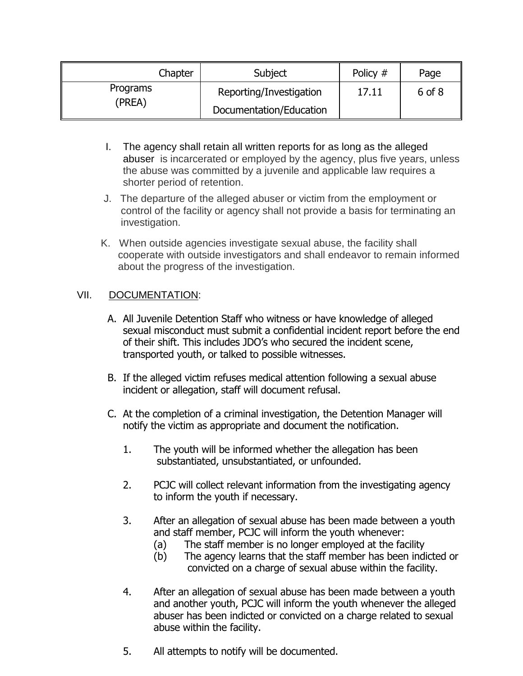| Chapter  | Subject                 | Policy # | Page   |
|----------|-------------------------|----------|--------|
| Programs | Reporting/Investigation | 17.11    | 6 of 8 |
| (PREA)   | Documentation/Education |          |        |

- I. The agency shall retain all written reports for as long as the alleged abuser is incarcerated or employed by the agency, plus five years, unless the abuse was committed by a juvenile and applicable law requires a shorter period of retention.
- J. The departure of the alleged abuser or victim from the employment or control of the facility or agency shall not provide a basis for terminating an investigation.
- K. When outside agencies investigate sexual abuse, the facility shall cooperate with outside investigators and shall endeavor to remain informed about the progress of the investigation.

# VII. DOCUMENTATION:

- A. All Juvenile Detention Staff who witness or have knowledge of alleged sexual misconduct must submit a confidential incident report before the end of their shift. This includes JDO's who secured the incident scene, transported youth, or talked to possible witnesses.
- B. If the alleged victim refuses medical attention following a sexual abuse incident or allegation, staff will document refusal.
- C. At the completion of a criminal investigation, the Detention Manager will notify the victim as appropriate and document the notification.
	- 1. The youth will be informed whether the allegation has been substantiated, unsubstantiated, or unfounded.
	- 2. PCJC will collect relevant information from the investigating agency to inform the youth if necessary.
	- 3. After an allegation of sexual abuse has been made between a youth and staff member, PCJC will inform the youth whenever:
		- (a) The staff member is no longer employed at the facility
		- (b) The agency learns that the staff member has been indicted or convicted on a charge of sexual abuse within the facility.
	- 4. After an allegation of sexual abuse has been made between a youth and another youth, PCJC will inform the youth whenever the alleged abuser has been indicted or convicted on a charge related to sexual abuse within the facility.
	- 5. All attempts to notify will be documented.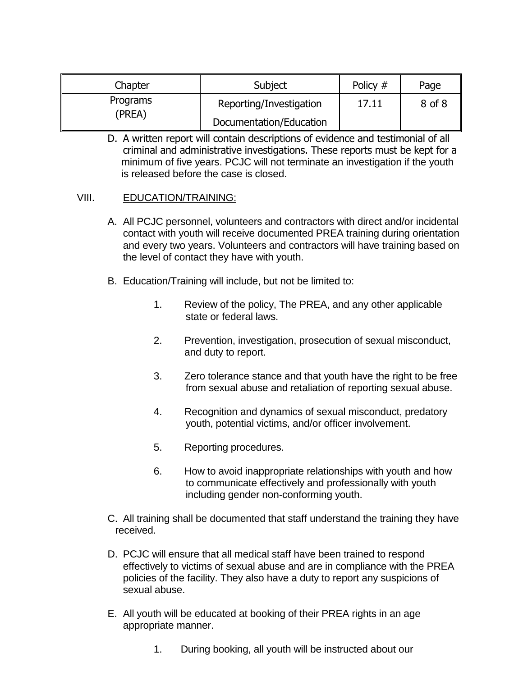| Chapter  | Subject                 | Policy # | Page   |
|----------|-------------------------|----------|--------|
| Programs | Reporting/Investigation | 17.11    | 8 of 8 |
| (PREA)   | Documentation/Education |          |        |

D. A written report will contain descriptions of evidence and testimonial of all criminal and administrative investigations. These reports must be kept for a minimum of five years. PCJC will not terminate an investigation if the youth is released before the case is closed.

### VIII. EDUCATION/TRAINING:

- A. All PCJC personnel, volunteers and contractors with direct and/or incidental contact with youth will receive documented PREA training during orientation and every two years. Volunteers and contractors will have training based on the level of contact they have with youth.
- B. Education/Training will include, but not be limited to:
	- 1. Review of the policy, The PREA, and any other applicable state or federal laws.
	- 2. Prevention, investigation, prosecution of sexual misconduct, and duty to report.
	- 3. Zero tolerance stance and that youth have the right to be free from sexual abuse and retaliation of reporting sexual abuse.
	- 4. Recognition and dynamics of sexual misconduct, predatory youth, potential victims, and/or officer involvement.
	- 5. Reporting procedures.
	- 6. How to avoid inappropriate relationships with youth and how to communicate effectively and professionally with youth including gender non-conforming youth.
- C. All training shall be documented that staff understand the training they have received.
- D. PCJC will ensure that all medical staff have been trained to respond effectively to victims of sexual abuse and are in compliance with the PREA policies of the facility. They also have a duty to report any suspicions of sexual abuse.
- E. All youth will be educated at booking of their PREA rights in an age appropriate manner.
	- 1. During booking, all youth will be instructed about our